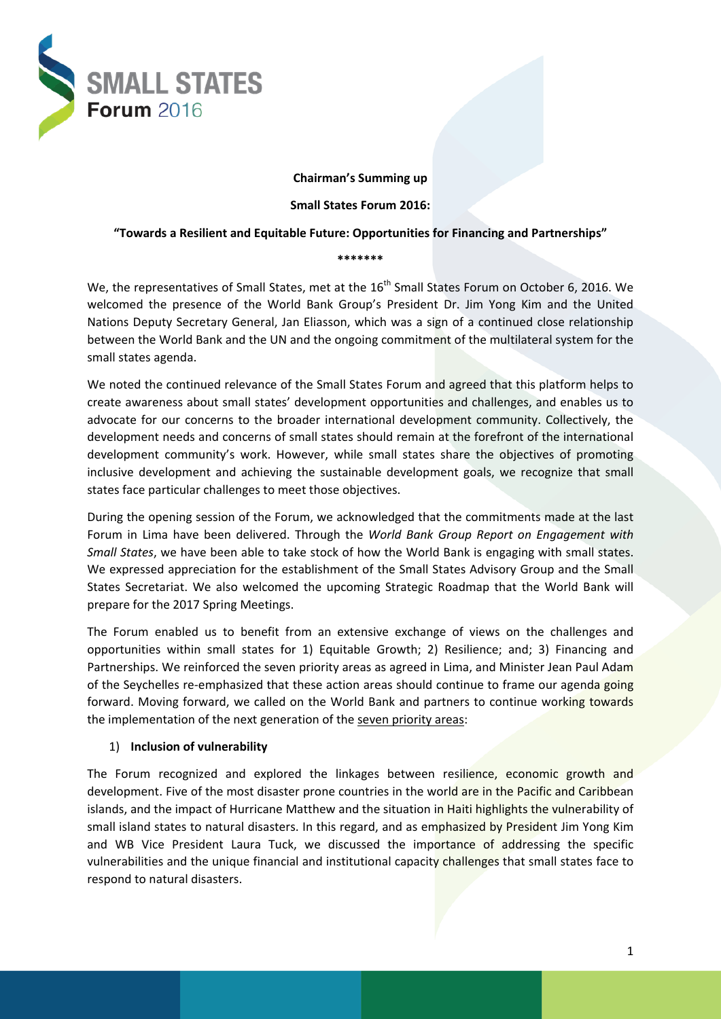

#### **Chairman's Summing up**

#### **Small States Forum 2016:**

# **"Towards a Resilient and Equitable Future: Opportunities for Financing and Partnerships" \*\*\*\*\*\*\***

We, the representatives of Small States, met at the 16<sup>th</sup> Small States Forum on October 6, 2016. We welcomed the presence of the World Bank Group's President Dr. Jim Yong Kim and the United Nations Deputy Secretary General, Jan Eliasson, which was a sign of a continued close relationship between the World Bank and the UN and the ongoing commitment of the multilateral system for the small states agenda.

We noted the continued relevance of the Small States Forum and agreed that this platform helps to create awareness about small states' development opportunities and challenges, and enables us to advocate for our concerns to the broader international development community. Collectively, the development needs and concerns of small states should remain at the forefront of the international development community's work. However, while small states share the objectives of promoting inclusive development and achieving the sustainable development goals, we recognize that small states face particular challenges to meet those objectives.

During the opening session of the Forum, we acknowledged that the commitments made at the last Forum in Lima have been delivered. Through the *World Bank Group Report on Engagement with Small States*, we have been able to take stock of how the World Bank is engaging with small states. We expressed appreciation for the establishment of the Small States Advisory Group and the Small States Secretariat. We also welcomed the upcoming Strategic Roadmap that the World Bank will prepare for the 2017 Spring Meetings.

The Forum enabled us to benefit from an extensive exchange of views on the challenges and opportunities within small states for 1) Equitable Growth; 2) Resilience; and; 3) Financing and Partnerships. We reinforced the seven priority areas as agreed in Lima, and Minister Jean Paul Adam of the Seychelles re-emphasized that these action areas should continue to frame our agenda going forward. Moving forward, we called on the World Bank and partners to continue working towards the implementation of the next generation of the seven priority areas:

#### 1) **Inclusion of vulnerability**

The Forum recognized and explored the linkages between resilience, economic growth and development. Five of the most disaster prone countries in the world are in the Pacific and Caribbean islands, and the impact of Hurricane Matthew and the situation in Haiti highlights the vulnerability of small island states to natural disasters. In this regard, and as emphasized by President Jim Yong Kim and WB Vice President Laura Tuck, we discussed the importance of addressing the specific vulnerabilities and the unique financial and institutional capacity challenges that small states face to respond to natural disasters.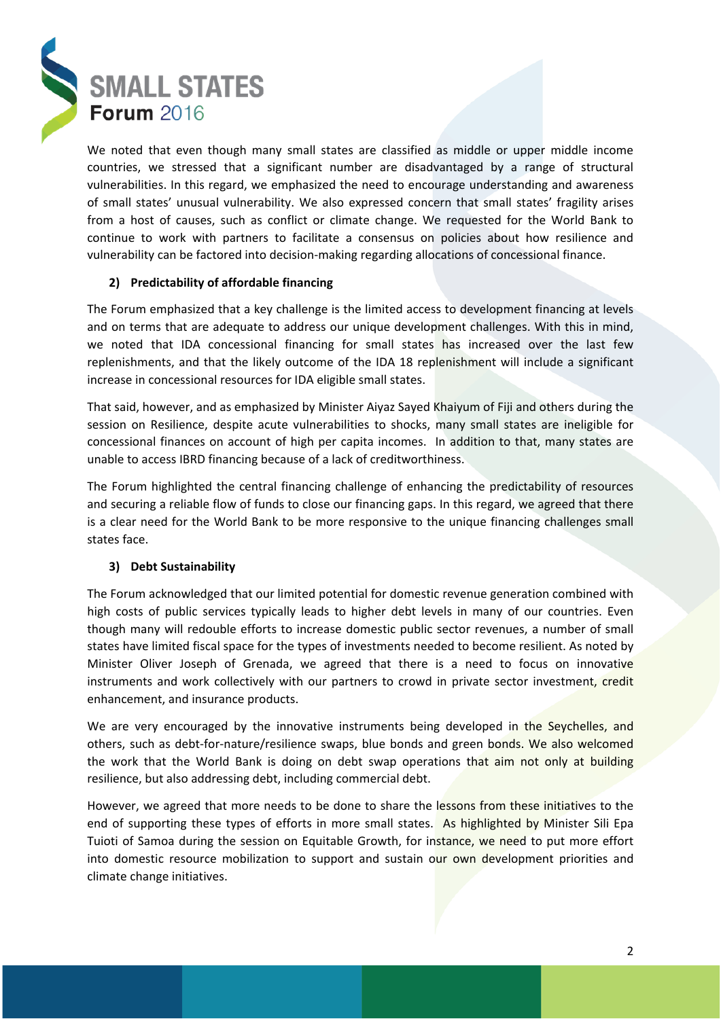

We noted that even though many small states are classified as middle or upper middle income countries, we stressed that a significant number are disadvantaged by a range of structural vulnerabilities. In this regard, we emphasized the need to encourage understanding and awareness of small states' unusual vulnerability. We also expressed concern that small states' fragility arises from a host of causes, such as conflict or climate change. We requested for the World Bank to continue to work with partners to facilitate a consensus on policies about how resilience and vulnerability can be factored into decision-making regarding allocations of concessional finance.

#### **2) Predictability of affordable financing**

The Forum emphasized that a key challenge is the limited access to development financing at levels and on terms that are adequate to address our unique development challenges. With this in mind, we noted that IDA concessional financing for small states has increased over the last few replenishments, and that the likely outcome of the IDA 18 replenishment will include a significant increase in concessional resources for IDA eligible small states.

That said, however, and as emphasized by Minister Aiyaz Sayed Khaiyum of Fiji and others during the session on Resilience, despite acute vulnerabilities to shocks, many small states are ineligible for concessional finances on account of high per capita incomes. In addition to that, many states are unable to access IBRD financing because of a lack of creditworthiness.

The Forum highlighted the central financing challenge of enhancing the predictability of resources and securing a reliable flow of funds to close our financing gaps. In this regard, we agreed that there is a clear need for the World Bank to be more responsive to the unique financing challenges small states face.

### **3) Debt Sustainability**

The Forum acknowledged that our limited potential for domestic revenue generation combined with high costs of public services typically leads to higher debt levels in many of our countries. Even though many will redouble efforts to increase domestic public sector revenues, a number of small states have limited fiscal space for the types of investments needed to become resilient. As noted by Minister Oliver Joseph of Grenada, we agreed that there is a need to focus on innovative instruments and work collectively with our partners to crowd in private sector investment, credit enhancement, and insurance products.

We are very encouraged by the innovative instruments being developed in the Seychelles, and others, such as debt-for-nature/resilience swaps, blue bonds and green bonds. We also welcomed the work that the World Bank is doing on debt swap operations that aim not only at building resilience, but also addressing debt, including commercial debt.

However, we agreed that more needs to be done to share the lessons from these initiatives to the end of supporting these types of efforts in more small states. As highlighted by Minister Sili Epa Tuioti of Samoa during the session on Equitable Growth, for instance, we need to put more effort into domestic resource mobilization to support and sustain our own development priorities and climate change initiatives.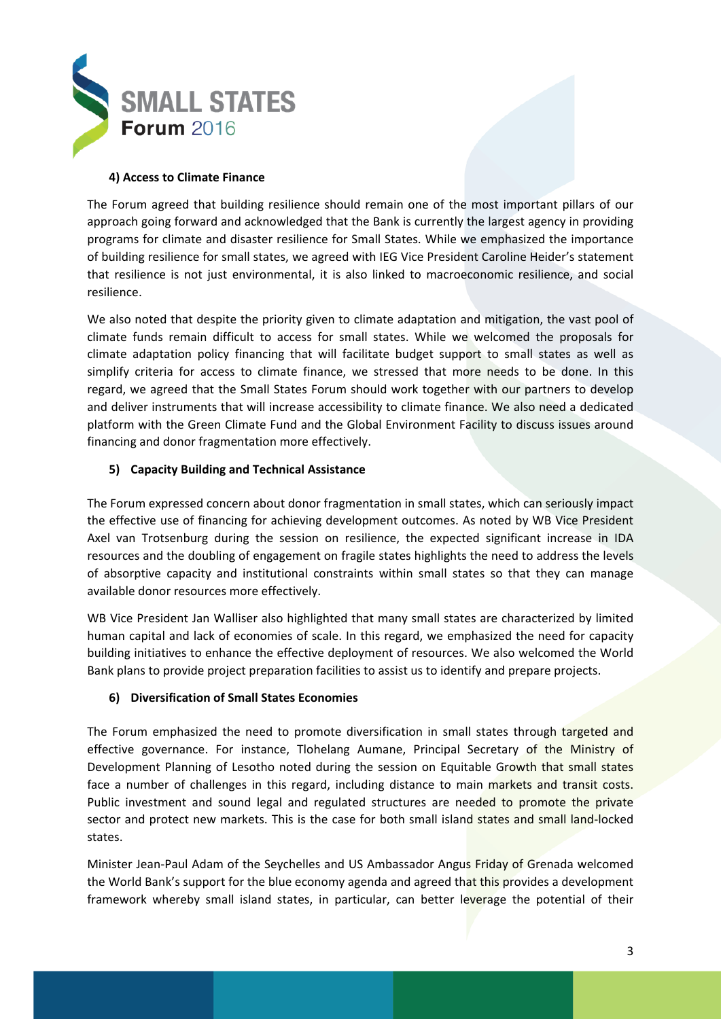

### **4) Access to Climate Finance**

The Forum agreed that building resilience should remain one of the most important pillars of our approach going forward and acknowledged that the Bank is currently the largest agency in providing programs for climate and disaster resilience for Small States. While we emphasized the importance of building resilience for small states, we agreed with IEG Vice President Caroline Heider's statement that resilience is not just environmental, it is also linked to macroeconomic resilience, and social resilience.

We also noted that despite the priority given to climate adaptation and mitigation, the vast pool of climate funds remain difficult to access for small states. While we welcomed the proposals for climate adaptation policy financing that will facilitate budget support to small states as well as simplify criteria for access to climate finance, we stressed that more needs to be done. In this regard, we agreed that the Small States Forum should work together with our partners to develop and deliver instruments that will increase accessibility to climate finance. We also need a dedicated platform with the Green Climate Fund and the Global Environment Facility to discuss issues around financing and donor fragmentation more effectively.

### **5) Capacity Building and Technical Assistance**

The Forum expressed concern about donor fragmentation in small states, which can seriously impact the effective use of financing for achieving development outcomes. As noted by WB Vice President Axel van Trotsenburg during the session on resilience, the expected significant increase in IDA resources and the doubling of engagement on fragile states highlights the need to address the levels of absorptive capacity and institutional constraints within small states so that they can manage available donor resources more effectively.

WB Vice President Jan Walliser also highlighted that many small states are characterized by limited human capital and lack of economies of scale. In this regard, we emphasized the need for capacity building initiatives to enhance the effective deployment of resources. We also welcomed the World Bank plans to provide project preparation facilities to assist us to identify and prepare projects.

#### **6) Diversification of Small States Economies**

The Forum emphasized the need to promote diversification in small states through targeted and effective governance. For instance, Tlohelang Aumane, Principal Secretary of the Ministry of Development Planning of Lesotho noted during the session on Equitable Growth that small states face a number of challenges in this regard, including distance to main markets and transit costs. Public investment and sound legal and regulated structures are needed to promote the private sector and protect new markets. This is the case for both small island states and small land-locked states.

Minister Jean-Paul Adam of the Seychelles and US Ambassador Angus Friday of Grenada welcomed the World Bank's support for the blue economy agenda and agreed that this provides a development framework whereby small island states, in particular, can better leverage the potential of their